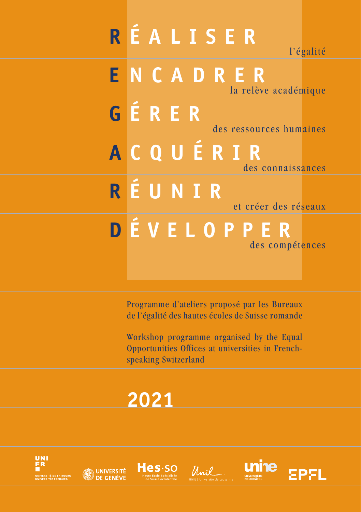# **R ÉALISER** l'égalité **E NCADRER** la relève académique **G ÉRER** des ressources humaines **A CQUÉRIR** des connaissances **R ÉUNIR** et créer des réseaux **D ÉVELOPPER** des compétences

Programme d'ateliers proposé par les Bureaux de l'égalité des hautes écoles de Suisse romande

Workshop programme organised by the Equal Opportunities Offices at universities in Frenchspeaking Switzerland

# **2021**









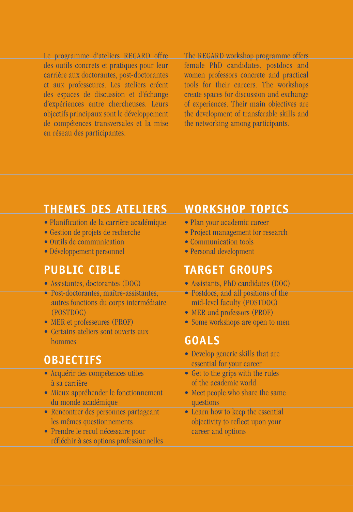Le programme d'ateliers REGARD offre des outils concrets et pratiques pour leur carrière aux doctorantes, post-doctorantes et aux professeures. Les ateliers créent des espaces de discussion et d'échange d'expériences entre chercheuses. Leurs objectifs principaux sont le développement de compétences transversales et la mise en réseau des participantes.

The REGARD workshop programme offers female PhD candidates, postdocs and women professors concrete and practical tools for their careers. The workshops create spaces for discussion and exchange of experiences. Their main objectives are the development of transferable skills and the networking among participants.

## **THEMES DES ATELIERS**

- Planification de la carrière académique
- Gestion de projets de recherche
- Outils de communication
- Développement personnel

# **PUBLIC CIBLE**

- Assistantes, doctorantes (DOC)
- Post-doctorantes, maître-assistantes, autres fonctions du corps intermédiaire (POSTDOC)
- MER et professeures (PROF)
- Certains ateliers sont ouverts aux hommes

# **OBJECTIFS**

- Acquérir des compétences utiles à sa carrière
- Mieux appréhender le fonctionnement du monde académique
- Rencontrer des personnes partageant les mêmes questionnements
- Prendre le recul nécessaire pour réfléchir à ses options professionnelles

# **WORKSHOP TOPICS**

- Plan your academic career
- Project management for research
- Communication tools
- Personal development

## **TARGET GROUPS**

- Assistants, PhD candidates (DOC)
- Postdocs, and all positions of the mid-level faculty (POSTDOC)
- MER and professors (PROF)
- Some workshops are open to men

# **GOALS**

- Develop generic skills that are essential for your career
- Get to the grips with the rules of the academic world
- Meet people who share the same questions
- Learn how to keep the essential objectivity to reflect upon your career and options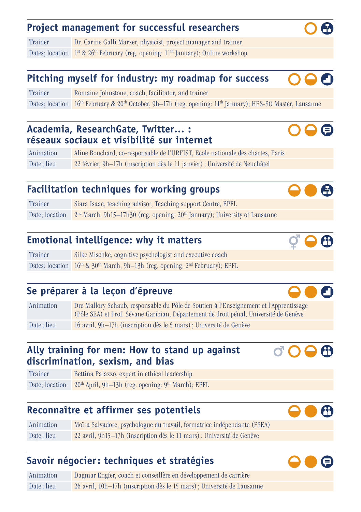#### **Project management for successful researchers**

Trainer Dr. Carine Galli Marxer, physicist, project manager and trainer Dates; location  $1^{st}$  &  $26^{th}$  February (reg. opening:  $11^{th}$  January); Online workshop

#### **Pitching myself for industry: my roadmap for success**

Trainer Romaine Johnstone, coach, facilitator, and trainer Dates; location 16<sup>th</sup> February & 20<sup>th</sup> October, 9h–17h (reg. opening: 11<sup>th</sup> January); HES-SO Master, Lausanne

#### **Academia, ResearchGate, Twitter… : réseaux sociaux et visibilité sur internet**

Animation Aline Bouchard, co-responsable de l'URFIST, Ecole nationale des chartes, Paris Date; lieu 22 février, 9h–17h (inscription dès le 11 janvier) ; Université de Neuchâtel

### **Facilitation techniques for working groups**

Trainer Siara Isaac, teaching advisor, Teaching support Centre, EPFL Date; location  $2<sup>nd</sup> March, 9h15–17h30$  (reg. opening:  $20<sup>th</sup>$  January); University of Lausanne

#### **Emotional intelligence: why it matters**

Trainer Silke Mischke, cognitive psychologist and executive coach Dates; location  $16<sup>th</sup>$  & 30<sup>th</sup> March, 9h-13h (reg. opening:  $2<sup>nd</sup>$  February); EPFL

#### **Se préparer à la leçon d'épreuve**

Animation Dre Mallory Schaub, responsable du Pôle de Soutien à l'Enseignement et l'Apprentissage (Pôle SEA) et Prof. Sévane Garibian, Département de droit pénal, Université de Genève Date; lieu 16 avril, 9h–17h (inscription dès le 5 mars) ; Université de Genève

#### **Ally training for men: How to stand up against discrimination, sexism, and bias**

Trainer Bettina Palazzo, expert in ethical leadership Date; location 20<sup>th</sup> April, 9h-13h (reg. opening: 9<sup>th</sup> March); EPFL

#### **Reconnaître et affirmer ses potentiels**

Animation Moïra Salvadore, psychologue du travail, formatrice indépendante (FSEA) Date; lieu 22 avril, 9h15–17h (inscription dès le 11 mars) ; Université de Genève

#### **Savoir négocier: techniques et stratégies**

Animation Dagmar Engfer, coach et conseillère en développement de carrière Date; lieu 26 avril, 10h–17h (inscription dès le 15 mars) ; Université de Lausanne









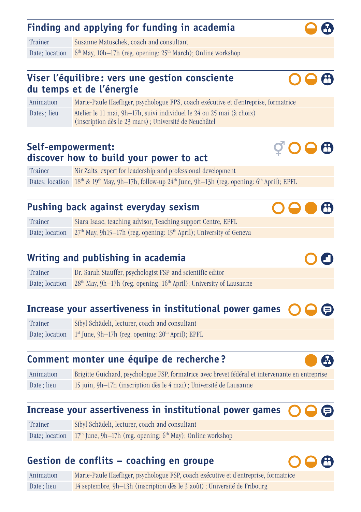## **Finding and applying for funding in academia**

Trainer Susanne Matuschek, coach and consultant Date; location  $6<sup>th</sup>$  May, 10h–17h (reg. opening: 25<sup>th</sup> March); Online workshop

#### **Viser l'équilibre : vers une gestion consciente du temps et de l'énergie**

Animation Marie-Paule Haefliger, psychologue FPS, coach exécutive et d'entreprise, formatrice Dates ; lieu Atelier le 11 mai, 9h–17h, suivi individuel le 24 ou 25 mai (à choix) (inscription dès le 23 mars); Université de Neuchâtel

#### **Self-empowerment: discover how to build your power to act**

Trainer Nir Zalts, expert for leadership and professional development Dates; location 18<sup>th</sup> & 19<sup>th</sup> May, 9h-17h, follow-up 24<sup>th</sup> June, 9h-13h (reg. opening: 6<sup>th</sup> April); EPFL

## **Pushing back against everyday sexism**

| Trainer        | Siara Isaac, teaching advisor, Teaching support Centre, EPFL                                |
|----------------|---------------------------------------------------------------------------------------------|
| Date; location | 27 <sup>th</sup> May, 9h15-17h (reg. opening: 15 <sup>th</sup> April); University of Geneva |

## **Writing and publishing in academia**

Trainer Dr. Sarah Stauffer, psychologist FSP and scientific editor Date; location  $28<sup>th</sup>$  May, 9h–17h (reg. opening: 16<sup>th</sup> April); University of Lausanne

#### **Increase your assertiveness in institutional power games**

Trainer Sibyl Schädeli, lecturer, coach and consultant Date; location  $1<sup>st</sup>$  June, 9h–17h (reg. opening: 20<sup>th</sup> April); EPFL

## **Comment monter une équipe de recherche ?**

Animation Brigitte Guichard, psychologue FSP, formatrice avec brevet fédéral et intervenante en entreprise Date; lieu 15 juin, 9h–17h (inscription dès le 4 mai) ; Université de Lausanne

#### **Increase your assertiveness in institutional power games**

Trainer Sibyl Schädeli, lecturer, coach and consultant Date; location  $17<sup>th</sup>$  June, 9h–17h (reg. opening: 6<sup>th</sup> May); Online workshop

#### **Gestion de conflits – coaching en groupe**

Animation Marie-Paule Haefliger, psychologue FSP, coach exécutive et d'entreprise, formatrice Date; lieu 14 septembre, 9h–13h (inscription dès le 3 août) ; Université de Fribourg











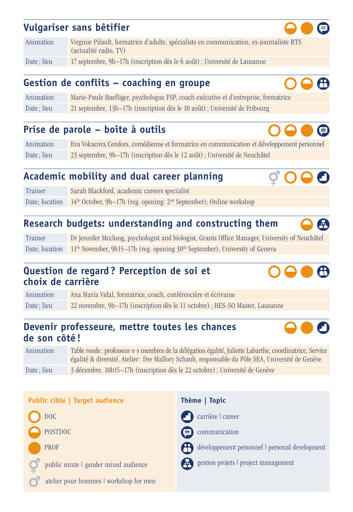### **Vulgariser sans bêtifier**

| Animation  | Virginie Pilault, formatrice d'adulte, spécialiste en communication, ex-journaliste RTS<br>(actualité radio, TV) |
|------------|------------------------------------------------------------------------------------------------------------------|
| Date: lieu | 17 septembre, 9h-17h (inscription dès le 6 août); Université de Lausanne                                         |

#### **Gestion de conflits – coaching en groupe**

Animation Marie-Paule Haefliger, psychologue FSP, coach exécutive et d'entreprise, formatrice Date; lieu 21 septembre, 13h–17h (inscription dès le 10 août); Université de Fribourg

#### **Prise de parole – boîte à outils**

Animation Eva Vokacova Cendors, comédienne et formatrice en communication et développement personnel Date; lieu 23 septembre, 9h–17h (inscription dès le 12 août) ; Université de Neuchâtel

### **Academic mobility and dual career planning**

Trainer Sarah Blackford, academic careers specialist Date; location 14<sup>th</sup> October, 9h–17h (reg. opening: 2<sup>nd</sup> September); Online workshop

### **Research budgets: understanding and constructing them**

Trainer Dr Jennifer Mcclung, psychologist and biologist, Grants Office Manager, University of Neuchâtel Date; location  $11<sup>th</sup>$  November, 9h15–17h (reg. opening  $30<sup>th</sup>$  September); University of Geneva

#### **Question de regard ? Perception de soi et choix de carrière**

Animation Ana María Vidal, formatrice, coach, conférencière et écrivaine Date; lieu 22 novembre, 9h–17h (inscription dès le 11 octobre) ; HES-SO Master, Lausanne

#### **Devenir professeure, mettre toutes les chances de son côté !**

Animation Table ronde: professeur·e·s membres de la délégation égalité, Juliette Labarthe, coordinatrice, Service égalité & diversité. Atelier : Dre Mallory Schaub, responsable du Pôle SEA, Université de Genève Date; lieu 3 décembre, 10h15–17h (inscription dès le 22 octobre) ; Université de Genève

| Public cible   Target audience         | Thème   Topic                                  |  |
|----------------------------------------|------------------------------------------------|--|
| DOC                                    | carrière l career                              |  |
| <b>POSTDOC</b>                         | $\bigcirc$ communication                       |  |
| <b>PROF</b>                            | développement personnel   personal development |  |
| public mixte I gender mixed audience   | estion projets I project management            |  |
| atelier pour hommes I workshop for men |                                                |  |